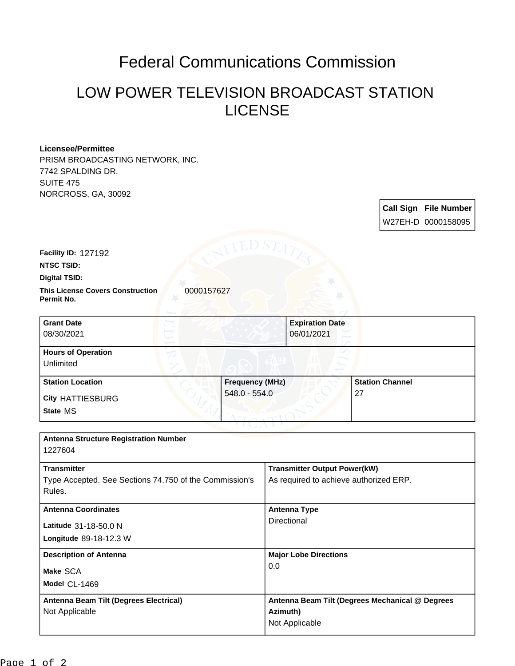# Federal Communications Commission

## LOW POWER TELEVISION BROADCAST STATION LICENSE

#### **Licensee/Permittee**

PRISM BROADCASTING NETWORK, INC. 7742 SPALDING DR. SUITE 475 NORCROSS, GA, 30092

> **Call Sign File Number** W27EH-D 0000158095

**Facility ID:** 127192

**NTSC TSID:**

#### **Digital TSID:**

**This License Covers Construction**  0000157627 **Permit No.**

| <b>Grant Date</b>         |                        | <b>Expiration Date</b> |                        |
|---------------------------|------------------------|------------------------|------------------------|
| 08/30/2021                | 06/01/2021             |                        |                        |
| <b>Hours of Operation</b> |                        |                        |                        |
| Unlimited                 |                        |                        |                        |
| <b>Station Location</b>   | <b>Frequency (MHz)</b> |                        | <b>Station Channel</b> |
| <b>City HATTIESBURG</b>   | 548.0 - 554.0          | 27                     |                        |
| State MS                  |                        |                        |                        |

| <b>Antenna Structure Registration Number</b><br>1227604                                |                                                                               |
|----------------------------------------------------------------------------------------|-------------------------------------------------------------------------------|
| <b>Transmitter</b><br>Type Accepted. See Sections 74.750 of the Commission's<br>Rules. | <b>Transmitter Output Power(kW)</b><br>As required to achieve authorized ERP. |
| <b>Antenna Coordinates</b><br>Latitude 31-18-50.0 N<br>Longitude 89-18-12.3 W          | <b>Antenna Type</b><br>Directional                                            |
| <b>Description of Antenna</b><br>Make SCA<br>Model CL-1469                             | <b>Major Lobe Directions</b><br>0.0                                           |
| Antenna Beam Tilt (Degrees Electrical)<br>Not Applicable                               | Antenna Beam Tilt (Degrees Mechanical @ Degrees<br>Azimuth)<br>Not Applicable |